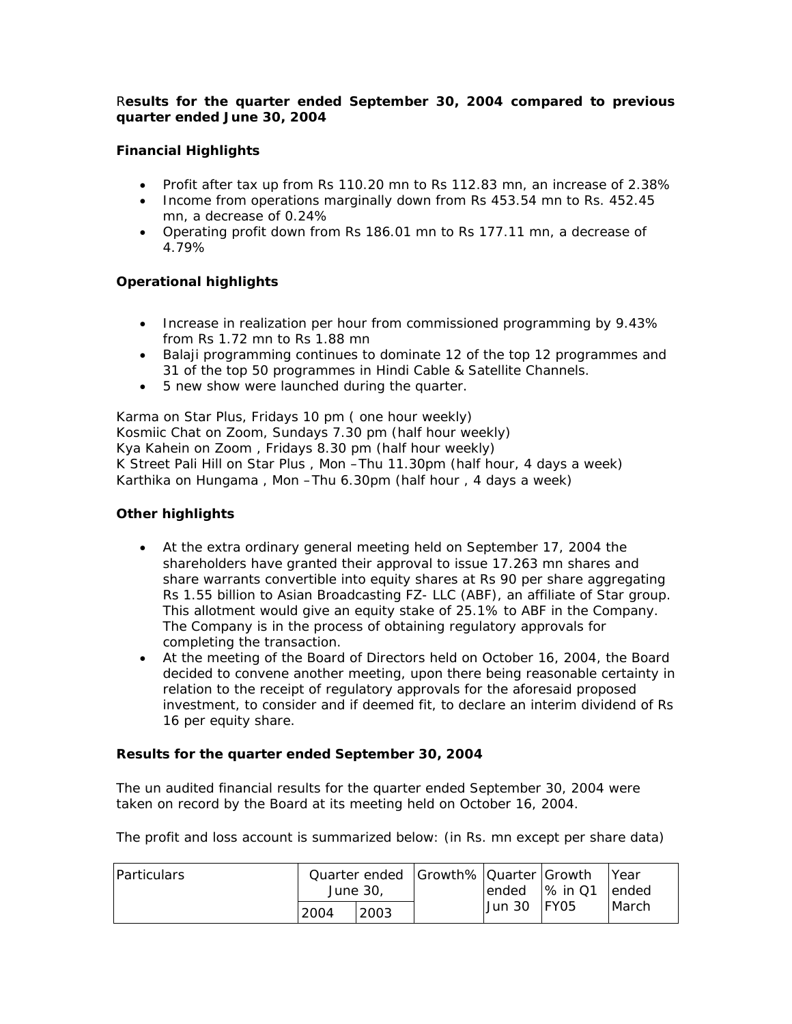## R*esults for the quarter ended September 30, 2004 compared to previous quarter ended June 30, 2004*

# **Financial Highlights**

- Profit after tax up from Rs 110.20 mn to Rs 112.83 mn, an increase of 2.38%
- Income from operations marginally down from Rs 453.54 mn to Rs. 452.45 mn, a decrease of 0.24%
- Operating profit down from Rs 186.01 mn to Rs 177.11 mn, a decrease of 4.79%

## **Operational highlights**

- Increase in realization per hour from commissioned programming by 9.43% from Rs 1.72 mn to Rs 1.88 mn
- Balaji programming continues to dominate 12 of the top 12 programmes and 31 of the top 50 programmes in Hindi Cable & Satellite Channels.
- 5 new show were launched during the quarter.

Karma on Star Plus, Fridays 10 pm ( one hour weekly) Kosmiic Chat on Zoom, Sundays 7.30 pm (half hour weekly) Kya Kahein on Zoom , Fridays 8.30 pm (half hour weekly) K Street Pali Hill on Star Plus , Mon –Thu 11.30pm (half hour, 4 days a week) Karthika on Hungama , Mon –Thu 6.30pm (half hour , 4 days a week)

## **Other highlights**

- At the extra ordinary general meeting held on September 17, 2004 the shareholders have granted their approval to issue 17.263 mn shares and share warrants convertible into equity shares at Rs 90 per share aggregating Rs 1.55 billion to Asian Broadcasting FZ- LLC (ABF), an affiliate of Star group. This allotment would give an equity stake of 25.1% to ABF in the Company. The Company is in the process of obtaining regulatory approvals for completing the transaction.
- At the meeting of the Board of Directors held on October 16, 2004, the Board decided to convene another meeting, upon there being reasonable certainty in relation to the receipt of regulatory approvals for the aforesaid proposed investment, to consider and if deemed fit, to declare an interim dividend of Rs 16 per equity share.

## **Results for the quarter ended September 30, 2004**

The un audited financial results for the quarter ended September 30, 2004 were taken on record by the Board at its meeting held on October 16, 2004.

The profit and loss account is summarized below: (in Rs. mn except per share data)

| <b>Particulars</b> | Quarter ended Growth% Quarter Growth<br>June 30.<br>2003<br>2004 |  |  |               | lended 1% in Q1 | <b>Year</b><br>lended |
|--------------------|------------------------------------------------------------------|--|--|---------------|-----------------|-----------------------|
|                    |                                                                  |  |  | lJun 30 IFY05 |                 | <b>March</b>          |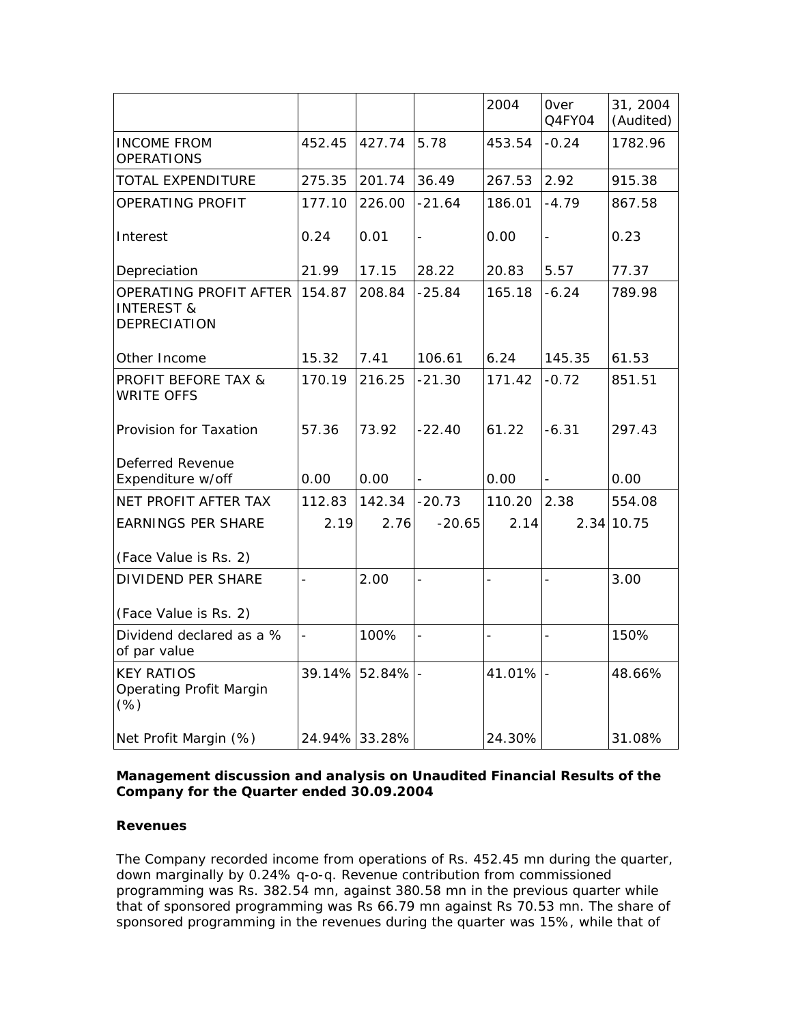|                                                                        |                |               |                | 2004           | <b>Over</b><br>Q4FY04 | 31, 2004<br>(Audited) |
|------------------------------------------------------------------------|----------------|---------------|----------------|----------------|-----------------------|-----------------------|
| <b>INCOME FROM</b><br><b>OPERATIONS</b>                                | 452.45         | 427.74        | 5.78           | 453.54         | $-0.24$               | 1782.96               |
| TOTAL EXPENDITURE                                                      | 275.35         | 201.74        | 36.49          | 267.53         | 2.92                  | 915.38                |
| OPERATING PROFIT                                                       | 177.10         | 226.00        | $-21.64$       | 186.01         | $-4.79$               | 867.58                |
| Interest                                                               | 0.24           | 0.01          | $\overline{a}$ | 0.00           | $\overline{a}$        | 0.23                  |
| Depreciation                                                           | 21.99          | 17.15         | 28.22          | 20.83          | 5.57                  | 77.37                 |
| OPERATING PROFIT AFTER<br><b>INTEREST &amp;</b><br><b>DEPRECIATION</b> | 154.87         | 208.84        | $-25.84$       | 165.18         | $-6.24$               | 789.98                |
| Other Income                                                           | 15.32          | 7.41          | 106.61         | 6.24           | 145.35                | 61.53                 |
| <b>PROFIT BEFORE TAX &amp;</b><br><b>WRITE OFFS</b>                    | 170.19         | 216.25        | $-21.30$       | 171.42         | $-0.72$               | 851.51                |
| Provision for Taxation                                                 | 57.36          | 73.92         | $-22.40$       | 61.22          | $-6.31$               | 297.43                |
| Deferred Revenue<br>Expenditure w/off                                  | 0.00           | 0.00          |                | 0.00           | $\frac{1}{2}$         | 0.00                  |
| NET PROFIT AFTER TAX                                                   | 112.83         | 142.34        | $-20.73$       | 110.20         | 2.38                  | 554.08                |
| <b>EARNINGS PER SHARE</b><br>(Face Value is Rs. 2)                     | 2.19           | 2.76          | $-20.65$       | 2.14           |                       | 2.34 10.75            |
| <b>DIVIDEND PER SHARE</b><br>(Face Value is Rs. 2)                     | $\overline{a}$ | 2.00          |                | $\overline{a}$ | $\bar{a}$             | 3.00                  |
| Dividend declared as a %<br>of par value                               | $\equiv$       | 100%          | $\overline{a}$ | $\frac{1}{2}$  | $\overline{a}$        | 150%                  |
| <b>KEY RATIOS</b><br><b>Operating Profit Margin</b><br>(% )            | 39.14%         | 52.84%        |                | 41.01%         | $\Box$                | 48.66%                |
| Net Profit Margin (%)                                                  |                | 24.94% 33.28% |                | 24.30%         |                       | 31.08%                |

## **Management discussion and analysis on Unaudited Financial Results of the Company for the Quarter ended 30.09.2004**

## **Revenues**

The Company recorded income from operations of Rs. 452.45 mn during the quarter, down marginally by 0.24% q-o-q. Revenue contribution from commissioned programming was Rs. 382.54 mn, against 380.58 mn in the previous quarter while that of sponsored programming was Rs 66.79 mn against Rs 70.53 mn. The share of sponsored programming in the revenues during the quarter was 15%, while that of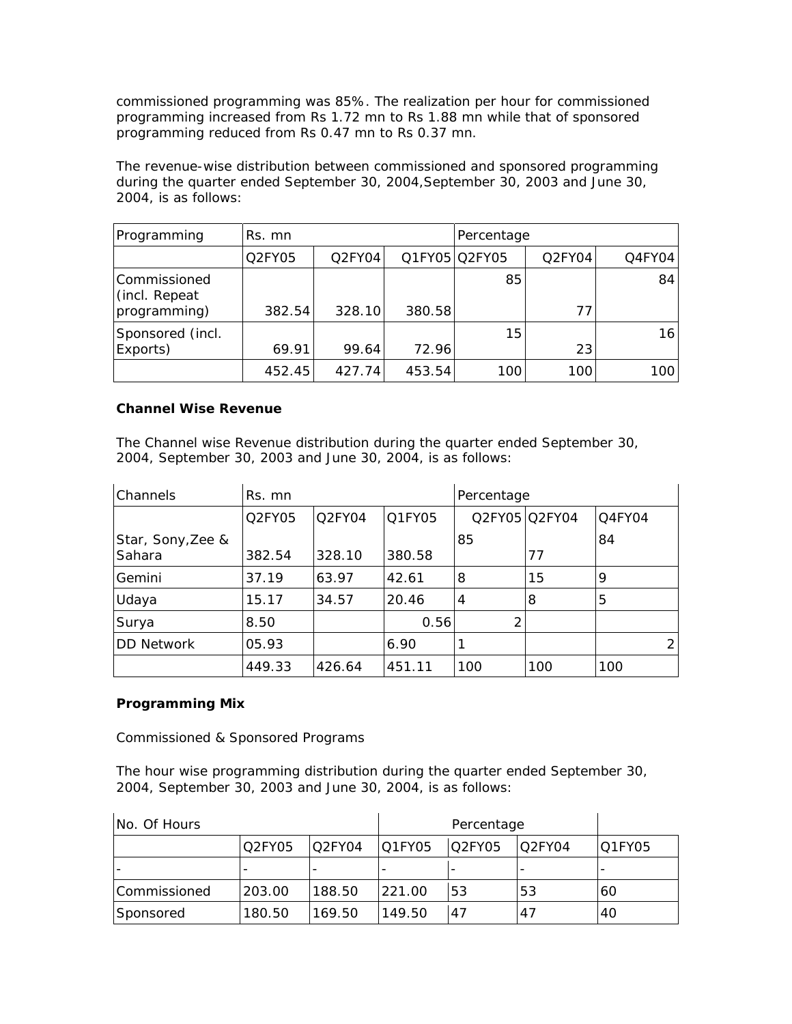commissioned programming was 85%. The realization per hour for commissioned programming increased from Rs 1.72 mn to Rs 1.88 mn while that of sponsored programming reduced from Rs 0.47 mn to Rs 0.37 mn.

The revenue-wise distribution between commissioned and sponsored programming during the quarter ended September 30, 2004,September 30, 2003 and June 30, 2004, is as follows:

| Programming                   | Rs. mn |                                 |        | Percentage    |        |        |
|-------------------------------|--------|---------------------------------|--------|---------------|--------|--------|
|                               | Q2FY05 | O <sub>2</sub> FY <sub>04</sub> |        | Q1FY05 Q2FY05 | Q2FY04 | Q4FY04 |
| Commissioned<br>(incl. Repeat |        |                                 |        | 85            |        | 84     |
| programming)                  | 382.54 | 328.10                          | 380.58 |               | 77     |        |
| Sponsored (incl.              |        |                                 |        | 15            |        | 16     |
| Exports)                      | 69.91  | 99.64                           | 72.96  |               | 23     |        |
|                               | 452.45 | 427.74                          | 453.54 | 100           | 100    | 100    |

## **Channel Wise Revenue**

The Channel wise Revenue distribution during the quarter ended September 30, 2004, September 30, 2003 and June 30, 2004, is as follows:

| Channels                    | Rs. mn |        |        | Percentage     |               |        |
|-----------------------------|--------|--------|--------|----------------|---------------|--------|
|                             | Q2FY05 | Q2FY04 | O1FY05 |                | Q2FY05 Q2FY04 | Q4FY04 |
| Star, Sony, Zee &<br>Sahara | 382.54 | 328.10 | 380.58 | 85             | 77            | 84     |
| Gemini                      | 37.19  | 63.97  | 42.61  | 8              | 15            | 9      |
| Udaya                       | 15.17  | 34.57  | 20.46  | $\overline{4}$ | 8             | 5      |
| Surya                       | 8.50   |        | 0.56   | 2              |               |        |
| DD Network                  | 05.93  |        | 6.90   |                |               | 21     |
|                             | 449.33 | 426.64 | 451.11 | 100            | 100           | 100    |

# **Programming Mix**

Commissioned & Sponsored Programs

The hour wise programming distribution during the quarter ended September 30, 2004, September 30, 2003 and June 30, 2004, is as follows:

| INo. Of Hours |        |                                 |        |        |         |        |
|---------------|--------|---------------------------------|--------|--------|---------|--------|
|               | Q2FY05 | O <sub>2</sub> FY <sub>04</sub> | Q1FY05 | O2FY05 | IO2FY04 | Q1FY05 |
|               |        |                                 |        |        |         |        |
| Commissioned  | 203.00 | 188.50                          | 221.00 | 53     | 53      | 60     |
| Sponsored     | 180.50 | 169.50                          | 149.50 | 47     | 47      | 40     |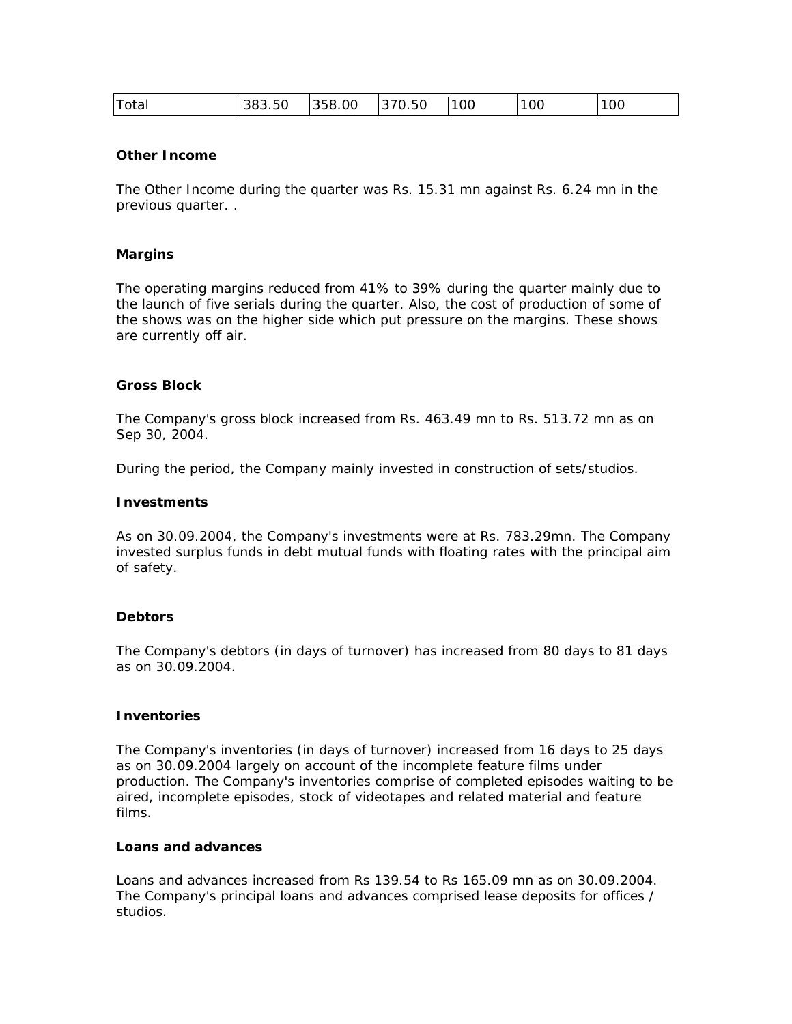| Total | 383.50 | 358.00 | 370.50 | 100 | 100 | 100 |
|-------|--------|--------|--------|-----|-----|-----|
|       |        |        |        |     |     |     |

#### **Other Income**

The Other Income during the quarter was Rs. 15.31 mn against Rs. 6.24 mn in the previous quarter. .

#### **Margins**

The operating margins reduced from 41% to 39% during the quarter mainly due to the launch of five serials during the quarter. Also, the cost of production of some of the shows was on the higher side which put pressure on the margins. These shows are currently off air.

#### **Gross Block**

The Company's gross block increased from Rs. 463.49 mn to Rs. 513.72 mn as on Sep 30, 2004.

During the period, the Company mainly invested in construction of sets/studios.

#### **Investments**

As on 30.09.2004, the Company's investments were at Rs. 783.29mn. The Company invested surplus funds in debt mutual funds with floating rates with the principal aim of safety.

#### **Debtors**

The Company's debtors (in days of turnover) has increased from 80 days to 81 days as on 30.09.2004.

#### **Inventories**

The Company's inventories (in days of turnover) increased from 16 days to 25 days as on 30.09.2004 largely on account of the incomplete feature films under production. The Company's inventories comprise of completed episodes waiting to be aired, incomplete episodes, stock of videotapes and related material and feature films.

#### **Loans and advances**

Loans and advances increased from Rs 139.54 to Rs 165.09 mn as on 30.09.2004. The Company's principal loans and advances comprised lease deposits for offices / studios.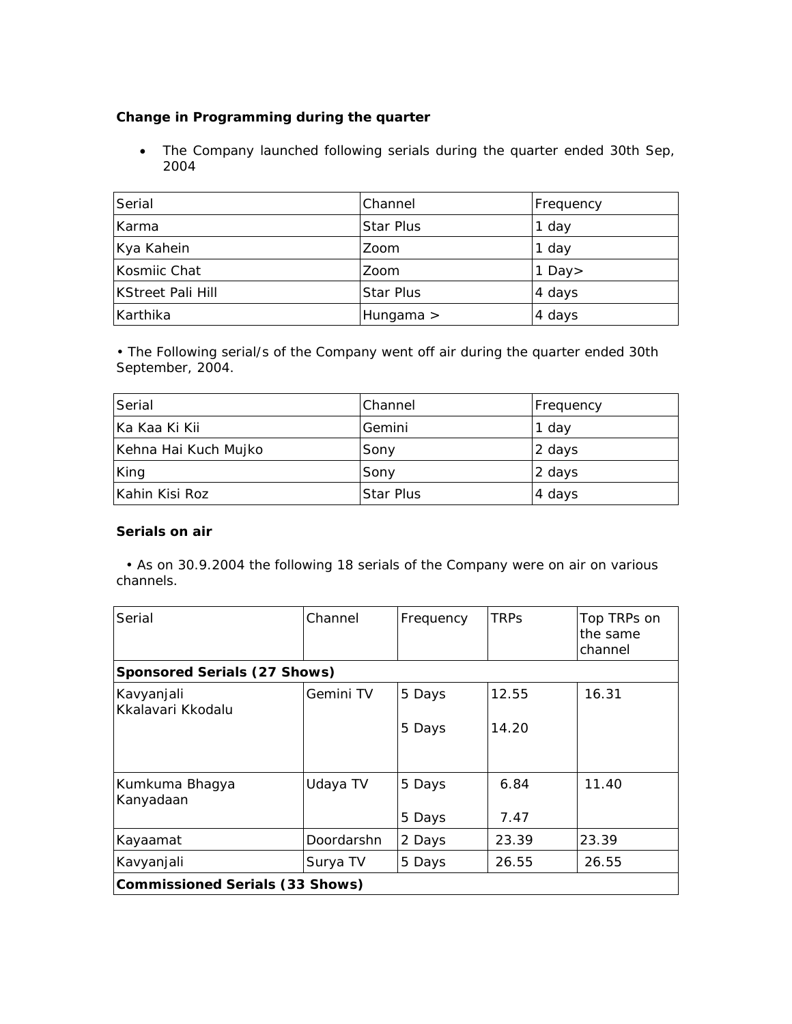# **Change in Programming during the quarter**

• The Company launched following serials during the quarter ended 30th Sep, 2004

| Serial                   | Channel          | Frequency |
|--------------------------|------------------|-----------|
| Karma                    | <b>Star Plus</b> | 1 day     |
| Kya Kahein               | Zoom             | 1 day     |
| Kosmiic Chat             | Zoom             | 1 Day $>$ |
| <b>KStreet Pali Hill</b> | <b>Star Plus</b> | 4 days    |
| Karthika                 | Hungama $>$      | 4 days    |

• The Following serial/s of the Company went off air during the quarter ended 30th September, 2004.

| Serial               | Channel    | <b>Frequency</b> |
|----------------------|------------|------------------|
| Ka Kaa Ki Kii        | Gemini     | 1 day            |
| Kehna Hai Kuch Mujko | Sony       | 2 days           |
| King                 | Sony       | 2 days           |
| Kahin Kisi Roz       | ∣Star Plus | 4 days           |

# **Serials on air**

 • As on 30.9.2004 the following 18 serials of the Company were on air on various channels.

| Serial                                 | Channel                      | Frequency | <b>TRPs</b> | Top TRPs on<br>the same<br>channel |  |  |  |
|----------------------------------------|------------------------------|-----------|-------------|------------------------------------|--|--|--|
|                                        | Sponsored Serials (27 Shows) |           |             |                                    |  |  |  |
| Kavyanjali<br>Kkalavari Kkodalu        | Gemini TV                    | 5 Days    | 12.55       | 16.31                              |  |  |  |
|                                        |                              | 5 Days    | 14.20       |                                    |  |  |  |
| Kumkuma Bhagya<br>Kanyadaan            | Udaya TV                     | 5 Days    | 6.84        | 11.40                              |  |  |  |
|                                        |                              | 5 Days    | 7.47        |                                    |  |  |  |
| Kayaamat                               | Doordarshn                   | 2 Days    | 23.39       | 23.39                              |  |  |  |
| Kavyanjali                             | Surya TV                     | 5 Days    | 26.55       | 26.55                              |  |  |  |
| <b>Commissioned Serials (33 Shows)</b> |                              |           |             |                                    |  |  |  |